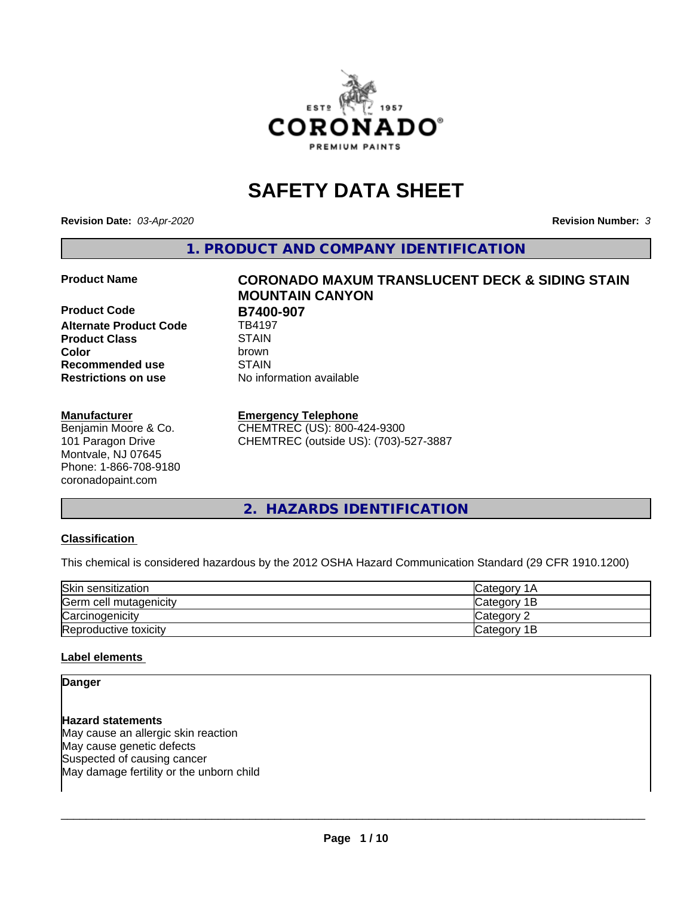

# **SAFETY DATA SHEET**

**Revision Date:** *03-Apr-2020* **Revision Number:** *3*

**1. PRODUCT AND COMPANY IDENTIFICATION**

**Product Code B7400-907**<br>Alternate Product Code **B**784197 **Alternate Product Code Product Class** STAIN<br> **Color** brown **Recommended use STAIN Restrictions on use** No information available

#### **Manufacturer**

Benjamin Moore & Co. 101 Paragon Drive Montvale, NJ 07645 Phone: 1-866-708-9180 coronadopaint.com

# **Product Name CORONADO MAXUM TRANSLUCENT DECK & SIDING STAIN MOUNTAIN CANYON Color** brown

**Emergency Telephone**

CHEMTREC (US): 800-424-9300 CHEMTREC (outside US): (703)-527-3887

**2. HAZARDS IDENTIFICATION**

#### **Classification**

This chemical is considered hazardous by the 2012 OSHA Hazard Communication Standard (29 CFR 1910.1200)

| Skin sensitization     | lCategory 1A |
|------------------------|--------------|
| Germ cell mutagenicity | Category 1B  |
| Carcinogenicity        | Category 2   |
| Reproductive toxicity  | Category 1B  |

#### **Label elements**

#### **Danger**

**Hazard statements** May cause an allergic skin reaction May cause genetic defects Suspected of causing cancer May damage fertility or the unborn child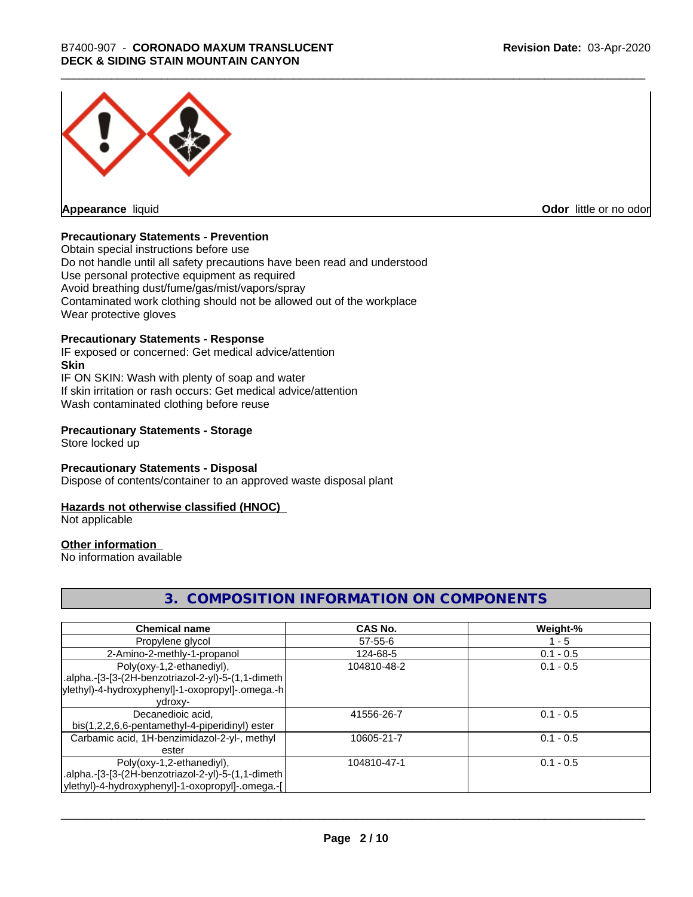

**Appearance** liquid

**Odor** little or no odor

#### **Precautionary Statements - Prevention**

Obtain special instructions before use Do not handle until all safety precautions have been read and understood Use personal protective equipment as required Avoid breathing dust/fume/gas/mist/vapors/spray Contaminated work clothing should not be allowed out of the workplace Wear protective gloves

#### **Precautionary Statements - Response**

IF exposed or concerned: Get medical advice/attention **Skin** IF ON SKIN: Wash with plenty of soap and water If skin irritation or rash occurs: Get medical advice/attention Wash contaminated clothing before reuse

#### **Precautionary Statements - Storage**

Store locked up

#### **Precautionary Statements - Disposal**

Dispose of contents/container to an approved waste disposal plant

#### **Hazards not otherwise classified (HNOC)**

Not applicable

#### **Other information**

No information available

#### **3. COMPOSITION INFORMATION ON COMPONENTS**

| <b>Chemical name</b>                               | CAS No.       | Weight-%    |
|----------------------------------------------------|---------------|-------------|
| Propylene glycol                                   | $57 - 55 - 6$ | $1 - 5$     |
| 2-Amino-2-methly-1-propanol                        | 124-68-5      | $0.1 - 0.5$ |
| Poly(oxy-1,2-ethanediyl),                          | 104810-48-2   | $0.1 - 0.5$ |
| .alpha.-[3-[3-(2H-benzotriazol-2-yl)-5-(1,1-dimeth |               |             |
| ylethyl)-4-hydroxyphenyl]-1-oxopropyl]-.omega.-h   |               |             |
| ydroxy-                                            |               |             |
| Decanedioic acid,                                  | 41556-26-7    | $0.1 - 0.5$ |
| bis(1,2,2,6,6-pentamethyl-4-piperidinyl) ester     |               |             |
| Carbamic acid, 1H-benzimidazol-2-yl-, methyl       | 10605-21-7    | $0.1 - 0.5$ |
| ester                                              |               |             |
| Poly(oxy-1,2-ethanediyl),                          | 104810-47-1   | $0.1 - 0.5$ |
| .alpha.-[3-[3-(2H-benzotriazol-2-yl)-5-(1,1-dimeth |               |             |
| ylethyl)-4-hydroxyphenyl]-1-oxopropyl]-.omega.-[   |               |             |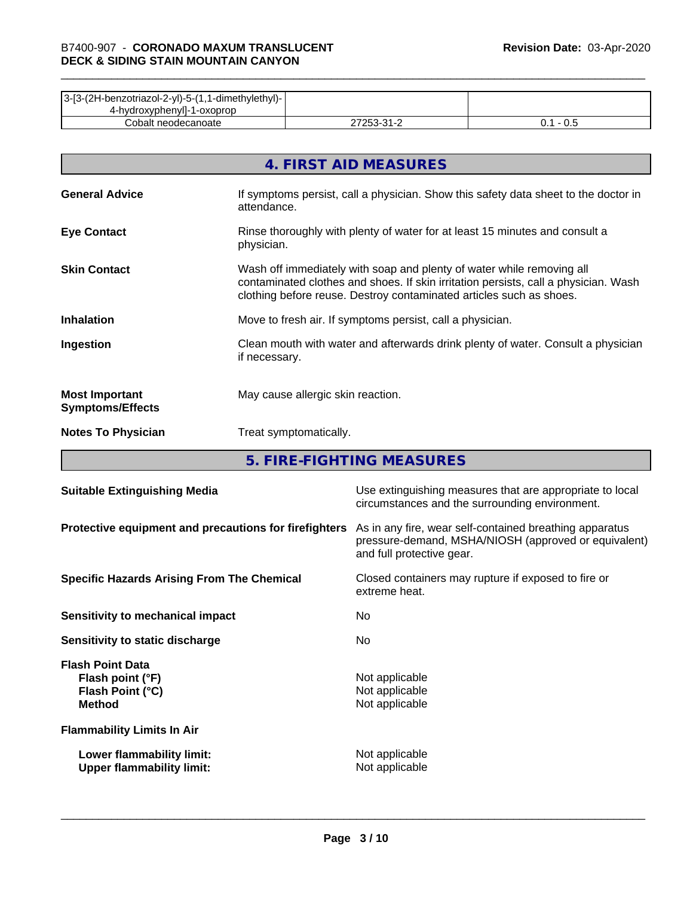| 3-[3-(2H-benzotriazol-2-yl)-5-(1,1-dimethylethyl)- |            |     |
|----------------------------------------------------|------------|-----|
| 4-hydroxyphenyll-1-oxoprop                         |            |     |
| Cobalt neodecanoate                                | ר בר<br>ີາ | v.J |

|                                                  | 4. FIRST AID MEASURES                                                                                                                                                                                                               |
|--------------------------------------------------|-------------------------------------------------------------------------------------------------------------------------------------------------------------------------------------------------------------------------------------|
| <b>General Advice</b>                            | If symptoms persist, call a physician. Show this safety data sheet to the doctor in<br>attendance.                                                                                                                                  |
| <b>Eye Contact</b>                               | Rinse thoroughly with plenty of water for at least 15 minutes and consult a<br>physician.                                                                                                                                           |
| <b>Skin Contact</b>                              | Wash off immediately with soap and plenty of water while removing all<br>contaminated clothes and shoes. If skin irritation persists, call a physician. Wash<br>clothing before reuse. Destroy contaminated articles such as shoes. |
| <b>Inhalation</b>                                | Move to fresh air. If symptoms persist, call a physician.                                                                                                                                                                           |
| Ingestion                                        | Clean mouth with water and afterwards drink plenty of water. Consult a physician<br>if necessary.                                                                                                                                   |
| <b>Most Important</b><br><b>Symptoms/Effects</b> | May cause allergic skin reaction.                                                                                                                                                                                                   |
| <b>Notes To Physician</b>                        | Treat symptomatically.                                                                                                                                                                                                              |

**5. FIRE-FIGHTING MEASURES**

| <b>Suitable Extinguishing Media</b>                                              | Use extinguishing measures that are appropriate to local<br>circumstances and the surrounding environment.                                   |
|----------------------------------------------------------------------------------|----------------------------------------------------------------------------------------------------------------------------------------------|
| Protective equipment and precautions for firefighters                            | As in any fire, wear self-contained breathing apparatus<br>pressure-demand, MSHA/NIOSH (approved or equivalent)<br>and full protective gear. |
| <b>Specific Hazards Arising From The Chemical</b>                                | Closed containers may rupture if exposed to fire or<br>extreme heat.                                                                         |
| Sensitivity to mechanical impact                                                 | No.                                                                                                                                          |
| Sensitivity to static discharge                                                  | No.                                                                                                                                          |
| <b>Flash Point Data</b><br>Flash point (°F)<br>Flash Point (°C)<br><b>Method</b> | Not applicable<br>Not applicable<br>Not applicable                                                                                           |
| <b>Flammability Limits In Air</b>                                                |                                                                                                                                              |
| Lower flammability limit:<br><b>Upper flammability limit:</b>                    | Not applicable<br>Not applicable                                                                                                             |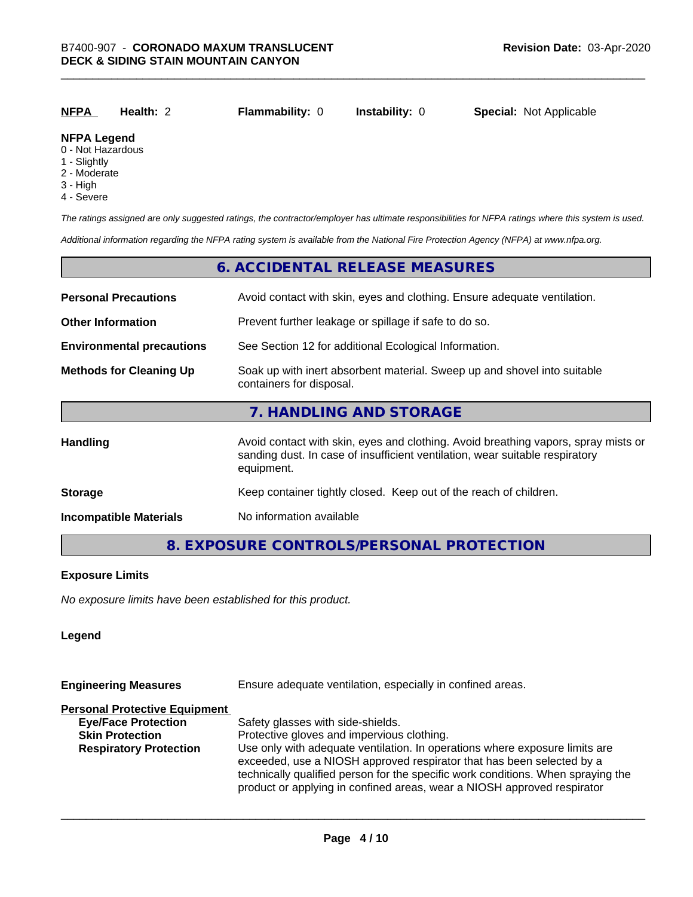| <u>NFPA</u>         | <b>Health: 2</b> | <b>Flammability: 0</b> | <b>Instability: 0</b> | <b>Special: Not Applicable</b> |
|---------------------|------------------|------------------------|-----------------------|--------------------------------|
| <b>ALCOVATIVITY</b> |                  |                        |                       |                                |

### **NFPA Legend**

- 0 Not Hazardous
- 1 Slightly
- 2 Moderate
- 3 High
- 4 Severe

*The ratings assigned are only suggested ratings, the contractor/employer has ultimate responsibilities for NFPA ratings where this system is used.*

*Additional information regarding the NFPA rating system is available from the National Fire Protection Agency (NFPA) at www.nfpa.org.*

#### **6. ACCIDENTAL RELEASE MEASURES**

| <b>Personal Precautions</b>      | Avoid contact with skin, eyes and clothing. Ensure adequate ventilation.                                                                                                         |  |  |
|----------------------------------|----------------------------------------------------------------------------------------------------------------------------------------------------------------------------------|--|--|
| <b>Other Information</b>         | Prevent further leakage or spillage if safe to do so.                                                                                                                            |  |  |
| <b>Environmental precautions</b> | See Section 12 for additional Ecological Information.                                                                                                                            |  |  |
| <b>Methods for Cleaning Up</b>   | Soak up with inert absorbent material. Sweep up and shovel into suitable<br>containers for disposal.                                                                             |  |  |
|                                  | 7. HANDLING AND STORAGE                                                                                                                                                          |  |  |
| Handling                         | Avoid contact with skin, eyes and clothing. Avoid breathing vapors, spray mists or<br>sanding dust. In case of insufficient ventilation, wear suitable respiratory<br>equipment. |  |  |
| <b>Storage</b>                   | Keep container tightly closed. Keep out of the reach of children.                                                                                                                |  |  |
| <b>Incompatible Materials</b>    | No information available                                                                                                                                                         |  |  |

#### **8. EXPOSURE CONTROLS/PERSONAL PROTECTION**

#### **Exposure Limits**

*No exposure limits have been established for this product.*

#### **Legend**

| <b>Engineering Measures</b>          | Ensure adequate ventilation, especially in confined areas.                                                                                                                                                                                                                                                          |  |  |
|--------------------------------------|---------------------------------------------------------------------------------------------------------------------------------------------------------------------------------------------------------------------------------------------------------------------------------------------------------------------|--|--|
| <b>Personal Protective Equipment</b> |                                                                                                                                                                                                                                                                                                                     |  |  |
| <b>Eye/Face Protection</b>           | Safety glasses with side-shields.                                                                                                                                                                                                                                                                                   |  |  |
| <b>Skin Protection</b>               | Protective gloves and impervious clothing.                                                                                                                                                                                                                                                                          |  |  |
| <b>Respiratory Protection</b>        | Use only with adequate ventilation. In operations where exposure limits are<br>exceeded, use a NIOSH approved respirator that has been selected by a<br>technically qualified person for the specific work conditions. When spraying the<br>product or applying in confined areas, wear a NIOSH approved respirator |  |  |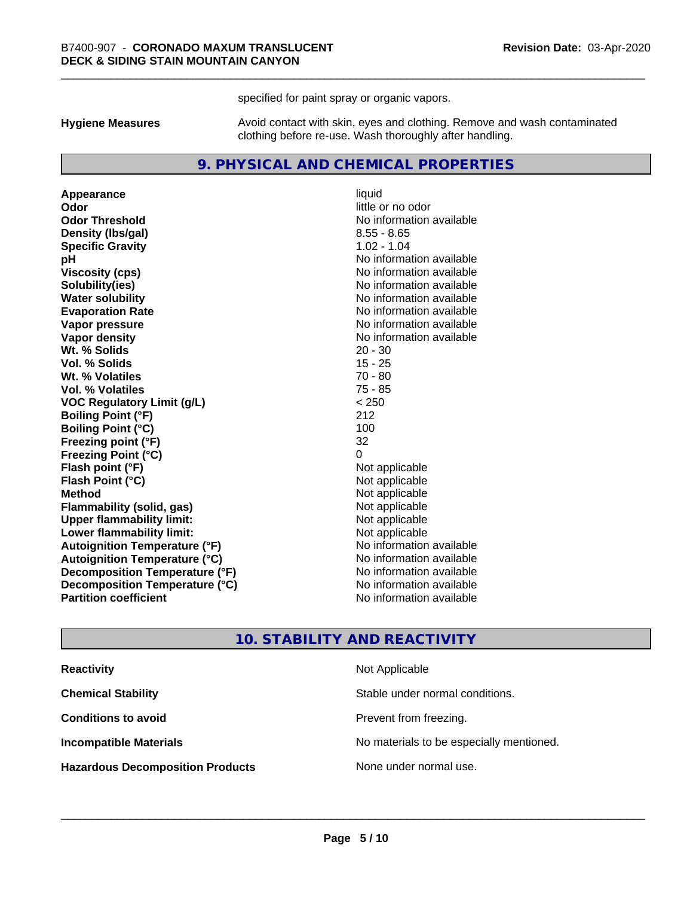specified for paint spray or organic vapors.

**Hygiene Measures** Avoid contact with skin, eyes and clothing. Remove and wash contaminated clothing before re-use. Wash thoroughly after handling.

#### **9. PHYSICAL AND CHEMICAL PROPERTIES**

**Appearance** liquid **Odor** little or no odor **Odor Threshold** No information available **Density (Ibs/gal)** 8.55 - 8.65 **Specific Gravity** 1.02 - 1.04 **pH** No information available **Viscosity (cps)** No information available **Solubility(ies)** No information available **Evaporation Rate No information available No information available Vapor pressure** No information available **Vapor density No information available No** information available **Wt. % Solids** 20 - 30 **Vol. % Solids** 15 - 25 **Wt. % Volatiles** 70 - 80 **Vol. % Volatiles** 75 - 85 **VOC Regulatory Limit (g/L)** < 250 **Boiling Point (°F)** 212 **Boiling Point (°C)** 100 **Freezing point (°F)** 32 **Freezing Point (°C)**<br> **Flash point (°F)**<br> **Flash point (°F)**<br> **Point (°F)**<br> **Point (°F)**<br> **Point (°F)**<br> **Point (°F) Flash point (°F)**<br> **Flash Point (°C)**<br> **Flash Point (°C)**<br> **C Flash Point (°C) Method** Not applicable **Flammability (solid, gas)** Not applicable<br> **Upper flammability limit:** Not applicable **Upper flammability limit: Lower flammability limit:** Not applicable **Autoignition Temperature (°F)** No information available **Autoignition Temperature (°C)** No information available **Decomposition Temperature (°F)** No information available **Decomposition Temperature (°C)** No information available **Partition coefficient Contract Contract Contract Contract Contract Contract Contract Contract Contract Contract Contract Contract Contract Contract Contract Contract Contract Contract Contract Contract Contract Contract** 

**No information available** 

#### **10. STABILITY AND REACTIVITY**

| <b>Reactivity</b>                       | Not Applicable                           |
|-----------------------------------------|------------------------------------------|
| <b>Chemical Stability</b>               | Stable under normal conditions.          |
| <b>Conditions to avoid</b>              | Prevent from freezing.                   |
| <b>Incompatible Materials</b>           | No materials to be especially mentioned. |
| <b>Hazardous Decomposition Products</b> | None under normal use.                   |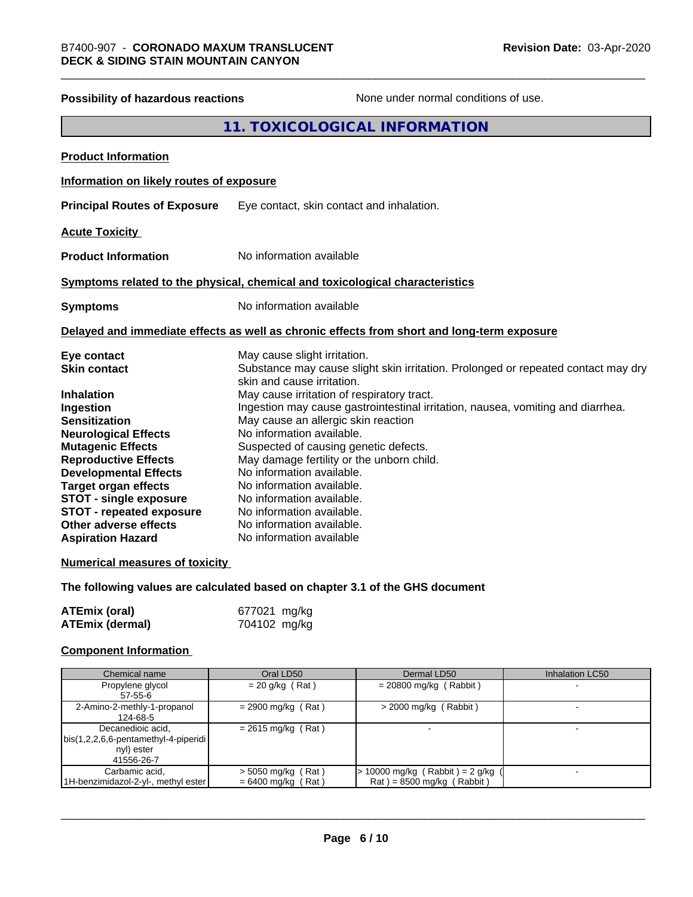## **Possibility of hazardous reactions** None under normal conditions of use. **11. TOXICOLOGICAL INFORMATION Product Information Information on likely routes of exposure Principal Routes of Exposure** Eye contact, skin contact and inhalation. **Acute Toxicity Product Information** No information available **Symptoms related to the physical,chemical and toxicological characteristics Symptoms** No information available **Delayed and immediate effects as well as chronic effects from short and long-term exposure Eye contact** May cause slight irritation. **Skin contact** Substance may cause slight skin irritation. Prolonged or repeated contact may dry skin and cause irritation. **Inhalation** May cause irritation of respiratory tract. **Ingestion Ingestion may cause gastrointestinal irritation**, nausea, vomiting and diarrhea. **Sensitization** May cause an allergic skin reaction **Neurological Effects** No information available. **Mutagenic Effects** Suspected of causing genetic defects. **Reproductive Effects** May damage fertility or the unborn child. **Developmental Effects** No information available.<br> **Target organ effects** No information available **Target organ effects** No information available.<br> **STOT - single exposure** No information available. **STOT** - single exposure **STOT** - **repeated exposure** No information available. **Other adverse effects** No information available. **Aspiration Hazard** No information available **Numerical measures of toxicity The following values are calculated based on chapter 3.1 of the GHS document**

| <b>ATEmix (oral)</b> | 677021 mg/kg |
|----------------------|--------------|
| ATEmix (dermal)      | 704102 mg/kg |

#### **Component Information**

| Chemical name                        | Oral LD50            | Dermal LD50                       | <b>Inhalation LC50</b> |
|--------------------------------------|----------------------|-----------------------------------|------------------------|
| Propylene glycol                     | $= 20$ g/kg (Rat)    | $= 20800$ mg/kg (Rabbit)          |                        |
| 57-55-6                              |                      |                                   |                        |
| 2-Amino-2-methly-1-propanol          | $= 2900$ mg/kg (Rat) | $>$ 2000 mg/kg (Rabbit)           |                        |
| 124-68-5                             |                      |                                   |                        |
| Decanedioic acid,                    | $= 2615$ mg/kg (Rat) |                                   |                        |
| bis(1,2,2,6,6-pentamethyl-4-piperidi |                      |                                   |                        |
| nyl) ester                           |                      |                                   |                        |
| 41556-26-7                           |                      |                                   |                        |
| Carbamic acid,                       | $>$ 5050 mg/kg (Rat) | $> 10000$ mg/kg (Rabbit) = 2 g/kg | -                      |
| 1H-benzimidazol-2-yl-, methyl ester  | $= 6400$ mg/kg (Rat) | $Rat$ = 8500 mg/kg (Rabbit)       |                        |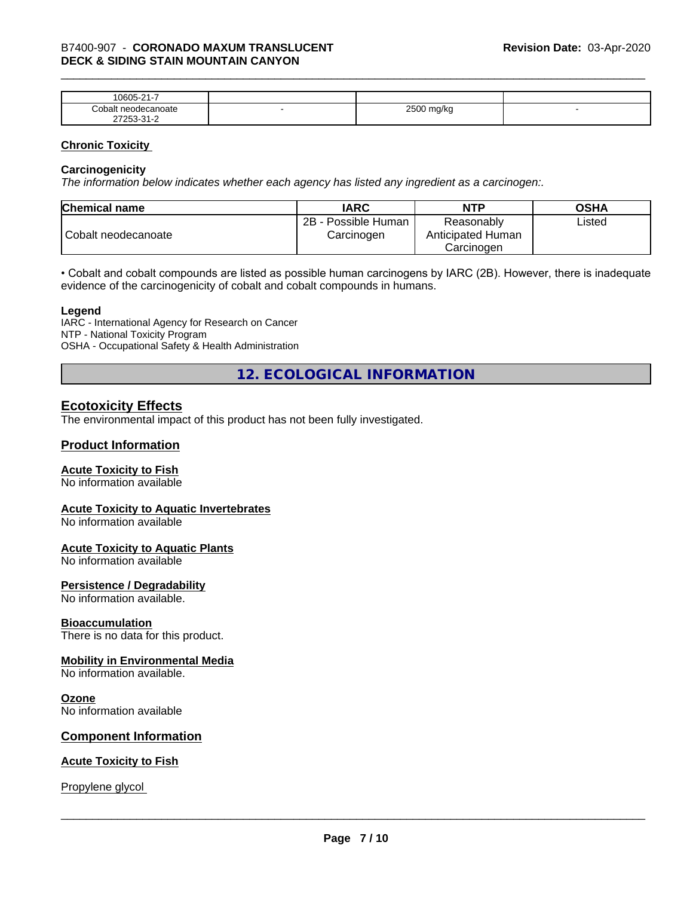| $\sim$<br>$\sim$ $\sim$ $\sim$<br>-<br>۱۲۱۱۰<br>.<br>. .           |   |                        |  |
|--------------------------------------------------------------------|---|------------------------|--|
| `∩h⊾<br>าoate                                                      | - | 0.500<br>W<br>- -<br>ີ |  |
| $\sim$<br>- ה<br>$ -$<br>$\sim$ $\sim$ $\sim$ $\sim$ $\sim$ $\sim$ |   |                        |  |

#### **Chronic Toxicity**

#### **Carcinogenicity**

*The information below indicateswhether each agency has listed any ingredient as a carcinogen:.*

| <b>Chemical name</b> | <b>IARC</b>                          | <b>NTP</b>                                    | <b>OSHA</b> |
|----------------------|--------------------------------------|-----------------------------------------------|-------------|
| Cobalt neodecanoate  | 2B<br>- Possible Human<br>Carcinogen | Reasonably<br>Anticipated Human<br>Carcinoɑen | ∟isted      |

• Cobalt and cobalt compounds are listed as possible human carcinogens by IARC (2B). However, there is inadequate evidence of the carcinogenicity of cobalt and cobalt compounds in humans.

#### **Legend**

IARC - International Agency for Research on Cancer NTP - National Toxicity Program OSHA - Occupational Safety & Health Administration

**12. ECOLOGICAL INFORMATION**

#### **Ecotoxicity Effects**

The environmental impact of this product has not been fully investigated.

#### **Product Information**

#### **Acute Toxicity to Fish**

No information available

#### **Acute Toxicity to Aquatic Invertebrates**

No information available

#### **Acute Toxicity to Aquatic Plants**

No information available

#### **Persistence / Degradability**

No information available.

#### **Bioaccumulation**

There is no data for this product.

#### **Mobility in Environmental Media**

No information available.

#### **Ozone**

No information available

#### **Component Information**

#### **Acute Toxicity to Fish**

Propylene glycol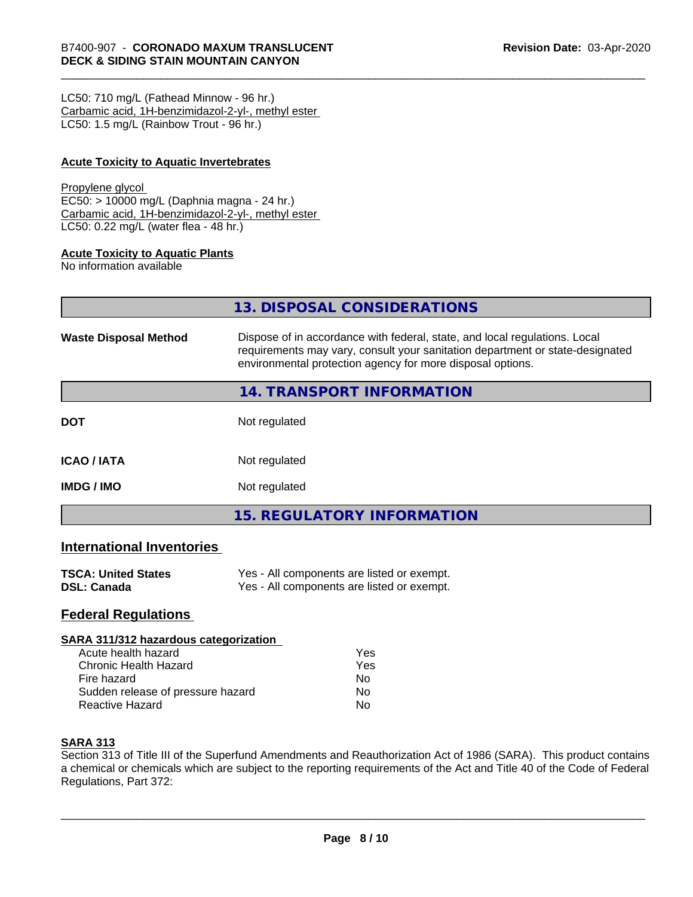LC50: 710 mg/L (Fathead Minnow - 96 hr.) Carbamic acid, 1H-benzimidazol-2-yl-, methyl ester LC50: 1.5 mg/L (Rainbow Trout - 96 hr.)

#### **Acute Toxicity to Aquatic Invertebrates**

#### Propylene glycol

EC50: > 10000 mg/L (Daphnia magna - 24 hr.) Carbamic acid, 1H-benzimidazol-2-yl-, methyl ester LC50: 0.22 mg/L (water flea - 48 hr.)

#### **Acute Toxicity to Aquatic Plants**

No information available

|                              | 13. DISPOSAL CONSIDERATIONS                                                                                                                                                                                               |
|------------------------------|---------------------------------------------------------------------------------------------------------------------------------------------------------------------------------------------------------------------------|
| <b>Waste Disposal Method</b> | Dispose of in accordance with federal, state, and local regulations. Local<br>requirements may vary, consult your sanitation department or state-designated<br>environmental protection agency for more disposal options. |
|                              | <b>14. TRANSPORT INFORMATION</b>                                                                                                                                                                                          |
| <b>DOT</b>                   | Not regulated                                                                                                                                                                                                             |
| ICAO / IATA                  | Not regulated                                                                                                                                                                                                             |
| IMDG / IMO                   | Not regulated                                                                                                                                                                                                             |

**15. REGULATORY INFORMATION**

#### **International Inventories**

| <b>TSCA: United States</b> | Yes - All components are listed or exempt. |
|----------------------------|--------------------------------------------|
| <b>DSL: Canada</b>         | Yes - All components are listed or exempt. |

#### **Federal Regulations**

#### **SARA 311/312 hazardous categorization**

| Acute health hazard               | Yes |  |
|-----------------------------------|-----|--|
| Chronic Health Hazard             | Yes |  |
| Fire hazard                       | N٥  |  |
| Sudden release of pressure hazard | N٥  |  |
| Reactive Hazard                   | N٥  |  |

#### **SARA 313**

Section 313 of Title III of the Superfund Amendments and Reauthorization Act of 1986 (SARA). This product contains a chemical or chemicals which are subject to the reporting requirements of the Act and Title 40 of the Code of Federal Regulations, Part 372: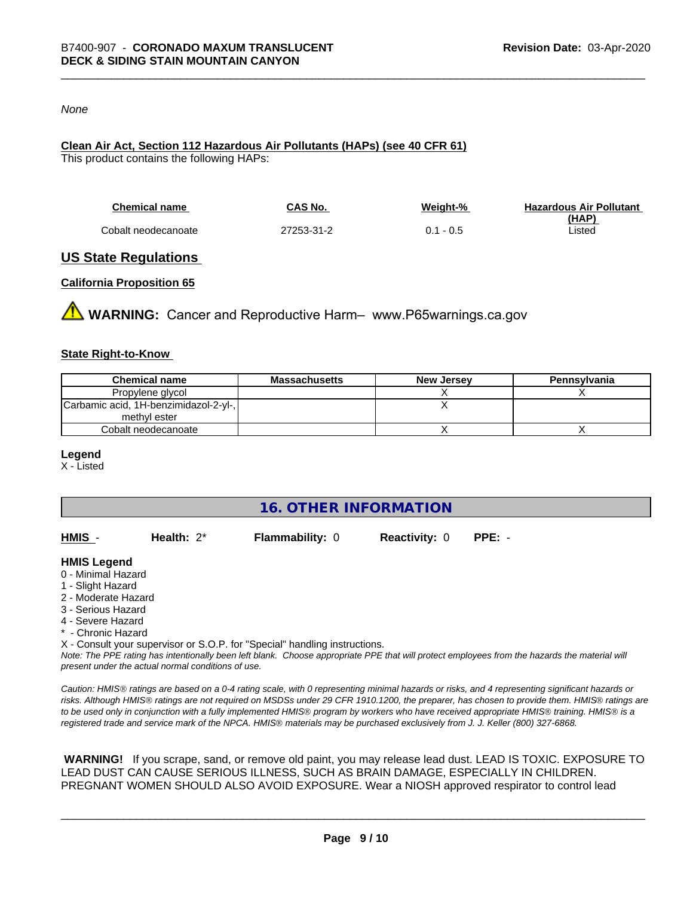#### *None*

#### **Clean Air Act,Section 112 Hazardous Air Pollutants (HAPs) (see 40 CFR 61)**

This product contains the following HAPs:

| <b>Chemical name</b> | CAS No.    | Weight-%    | <b>Hazardous Air Pollutant</b> |
|----------------------|------------|-------------|--------------------------------|
|                      |            |             | (HAP)                          |
| Cobalt neodecanoate  | 27253-31-2 | $0.1 - 0.5$ | Listed                         |

#### **US State Regulations**

#### **California Proposition 65**

**WARNING:** Cancer and Reproductive Harm– www.P65warnings.ca.gov

#### **State Right-to-Know**

| <b>Chemical name</b>                  | <b>Massachusetts</b> | <b>New Jersey</b> | Pennsylvania |
|---------------------------------------|----------------------|-------------------|--------------|
| Propylene glycol                      |                      |                   |              |
| Carbamic acid, 1H-benzimidazol-2-yl-, |                      |                   |              |
| methyl ester                          |                      |                   |              |
| Cobalt neodecanoate                   |                      |                   |              |

#### **Legend**

X - Listed

**16. OTHER INFORMATION**

| HMIS | Health: $2^*$ | <b>Flammability: 0</b> | <b>Reactivity: 0</b> | PPE: - |
|------|---------------|------------------------|----------------------|--------|
|      |               |                        |                      |        |

#### **HMIS Legend**

- 0 Minimal Hazard
- 1 Slight Hazard
- 2 Moderate Hazard
- 3 Serious Hazard
- 4 Severe Hazard
- \* Chronic Hazard
- X Consult your supervisor or S.O.P. for "Special" handling instructions.

*Note: The PPE rating has intentionally been left blank. Choose appropriate PPE that will protect employees from the hazards the material will present under the actual normal conditions of use.*

*Caution: HMISÒ ratings are based on a 0-4 rating scale, with 0 representing minimal hazards or risks, and 4 representing significant hazards or risks. Although HMISÒ ratings are not required on MSDSs under 29 CFR 1910.1200, the preparer, has chosen to provide them. HMISÒ ratings are to be used only in conjunction with a fully implemented HMISÒ program by workers who have received appropriate HMISÒ training. HMISÒ is a registered trade and service mark of the NPCA. HMISÒ materials may be purchased exclusively from J. J. Keller (800) 327-6868.*

 **WARNING!** If you scrape, sand, or remove old paint, you may release lead dust. LEAD IS TOXIC. EXPOSURE TO LEAD DUST CAN CAUSE SERIOUS ILLNESS, SUCH AS BRAIN DAMAGE, ESPECIALLY IN CHILDREN. PREGNANT WOMEN SHOULD ALSO AVOID EXPOSURE.Wear a NIOSH approved respirator to control lead